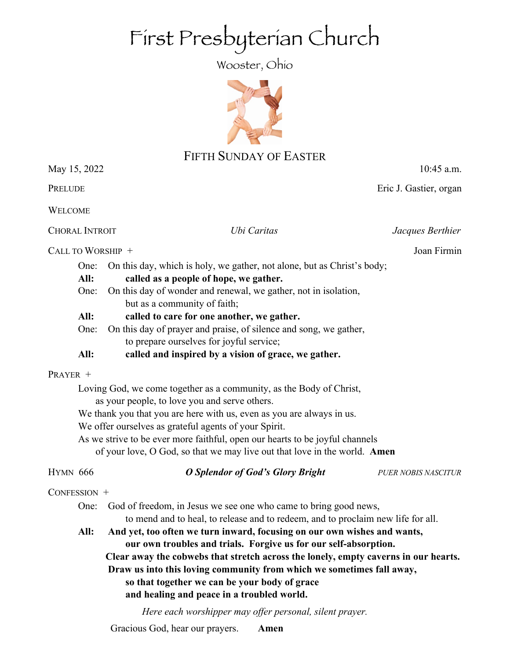# First Presbyterian Church

Wooster, Ohio



# FIFTH SUNDAY OF EASTER

May 15, 2022 10:45 a.m.

**PRELUDE EXECUTE EXECUTE EXECUTE EXECUTE EXECUTE EXECUTE EXECUTE EXECUTE EXECUTE EXECUTE EXECUTE** 

WELCOME

CHORAL INTROIT *Ubi Caritas Jacques Berthier*

CALL TO WORSHIP + Joan Firmin

- One: On this day, which is holy, we gather, not alone, but as Christ's body;
- **All: called as a people of hope, we gather.**
- One: On this day of wonder and renewal, we gather, not in isolation, but as a community of faith;
- **All: called to care for one another, we gather.**
- One: On this day of prayer and praise, of silence and song, we gather, to prepare ourselves for joyful service;
- **All: called and inspired by a vision of grace, we gather.**

# PRAYER +

Loving God, we come together as a community, as the Body of Christ, as your people, to love you and serve others.

We thank you that you are here with us, even as you are always in us.

We offer ourselves as grateful agents of your Spirit.

As we strive to be ever more faithful, open our hearts to be joyful channels of your love, O God, so that we may live out that love in the world. **Amen**

HYMN 666 *O Splendor of God's Glory Bright PUER NOBIS NASCITUR*

# CONFESSION +

One: God of freedom, in Jesus we see one who came to bring good news, to mend and to heal, to release and to redeem, and to proclaim new life for all.

**All: And yet, too often we turn inward, focusing on our own wishes and wants, our own troubles and trials. Forgive us for our self-absorption. Clear away the cobwebs that stretch across the lonely, empty caverns in our hearts. Draw us into this loving community from which we sometimes fall away, so that together we can be your body of grace and healing and peace in a troubled world.**

*Here each worshipper may offer personal, silent prayer.*

Gracious God, hear our prayers. **Amen**